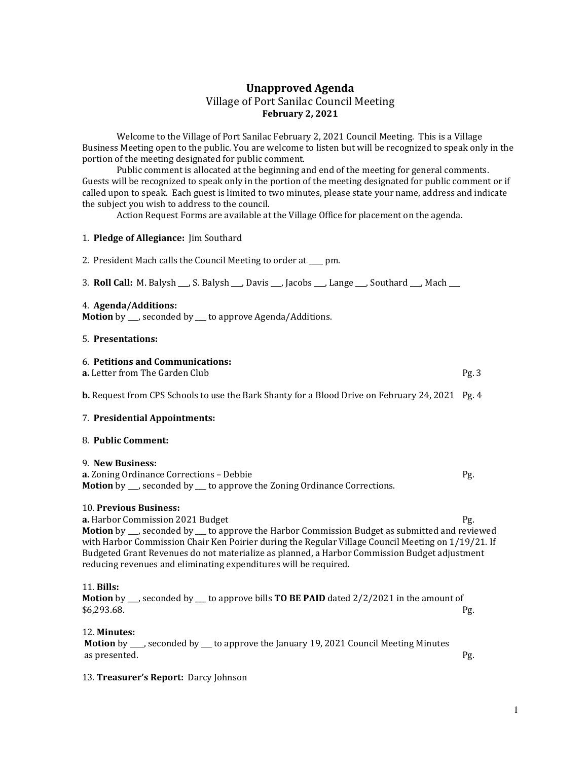# Unapproved Agenda Village of Port Sanilac Council Meeting February 2, 2021

 Welcome to the Village of Port Sanilac February 2, 2021 Council Meeting. This is a Village Business Meeting open to the public. You are welcome to listen but will be recognized to speak only in the portion of the meeting designated for public comment.

 Public comment is allocated at the beginning and end of the meeting for general comments. Guests will be recognized to speak only in the portion of the meeting designated for public comment or if called upon to speak. Each guest is limited to two minutes, please state your name, address and indicate the subject you wish to address to the council.

Action Request Forms are available at the Village Office for placement on the agenda.

## 1. Pledge of Allegiance: Jim Southard

2. President Mach calls the Council Meeting to order at \_\_\_\_ pm.

3. Roll Call: M. Balysh \_\_\_, S. Balysh \_\_\_, Davis \_\_\_, Jacobs \_\_\_, Lange \_\_\_, Southard \_\_\_, Mach \_\_\_

## 4. Agenda/Additions:

Motion by \_\_, seconded by \_\_ to approve Agenda/Additions.

## 5. Presentations:

### 6. Petitions and Communications:

**a.** Letter from The Garden Club **Pg. 3** Pg. 3

**b.** Request from CPS Schools to use the Bark Shanty for a Blood Drive on February 24, 2021 Pg. 4

## 7. Presidential Appointments:

#### 8. Public Comment:

#### 9. New Business:

a. Zoning Ordinance Corrections – Debbie Pg. Motion by \_\_\_, seconded by \_\_\_ to approve the Zoning Ordinance Corrections.

## 10. Previous Business:

**a.** Harbor Commission 2021 Budget **Pg.** Pg. 2021 Budget Pg. **Motion** by \_\_\_, seconded by \_\_\_ to approve the Harbor Commission Budget as submitted and reviewed with Harbor Commission Chair Ken Poirier during the Regular Village Council Meeting on 1/19/21. If Budgeted Grant Revenues do not materialize as planned, a Harbor Commission Budget adjustment reducing revenues and eliminating expenditures will be required.

## 11. Bills:

**Motion** by  $\Box$ , seconded by  $\Box$  to approve bills **TO BE PAID** dated 2/2/2021 in the amount of  $$6,293.68.$  Pg.

12. Minutes:

Motion by \_\_\_, seconded by \_\_ to approve the January 19, 2021 Council Meeting Minutes as presented. Pg.

## 13. Treasurer's Report: Darcy Johnson